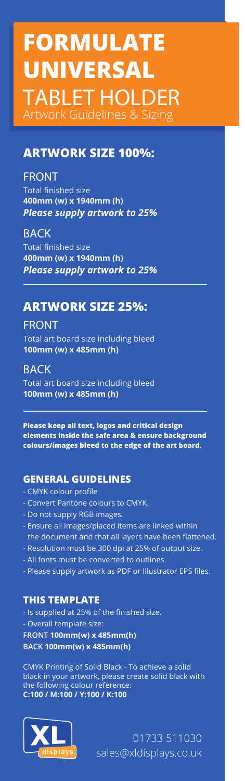# **FORMULATE UNIVERSAL TABLET HOLDER** Artwork Guidelines & Sizing

## **ARTWORK SIZE 100%:**

#### **FRONT**

Total finished size **400mm (w) x 1940mm (h)** *Please supply artwork to 25%*

#### **BACK**

Total finished size **400mm (w) x 1940mm (h)** *Please supply artwork to 25%*

# **ARTWORK SIZE 25%:**

Total art board size including bleed **100mm (w) x 485mm (h) FRONT**

**BACK** Total art board size including bleed **100mm (w) x 485mm (h)**

**Please keep all text, logos and critical design elements inside the safe area & ensure background colours/images bleed to the edge of the art board.**

### **GENERAL GUIDELINES**

- CMYK colour profile
- Convert Pantone colours to CMYK.
- Do not supply RGB images.
- Ensure all images/placed items are linked within the document and that all layers have been flattened.
- Resolution must be 300 dpi at 25% of output size.
- All fonts must be converted to outlines.
- Please supply artwork as PDF or Illustrator EPS files.

#### **THIS TEMPLATE**

- Is supplied at 25% of the finished size.

- Overall template size:

**FRONT 100mm(w) x 485mm(h) BACK 100mm(w) x 485mm(h)**

CMYK Printing of Solid Black - To achieve a solid black in your artwork, please create solid black with the following colour reference: **C:100 / M:100 / Y:100 / K:100**



01733 511030 sales@xldisplays.co.uk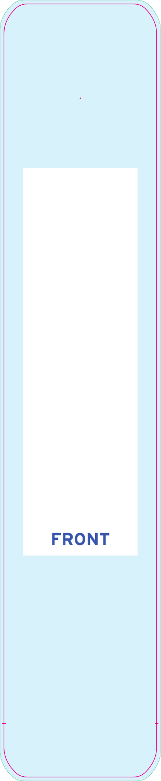